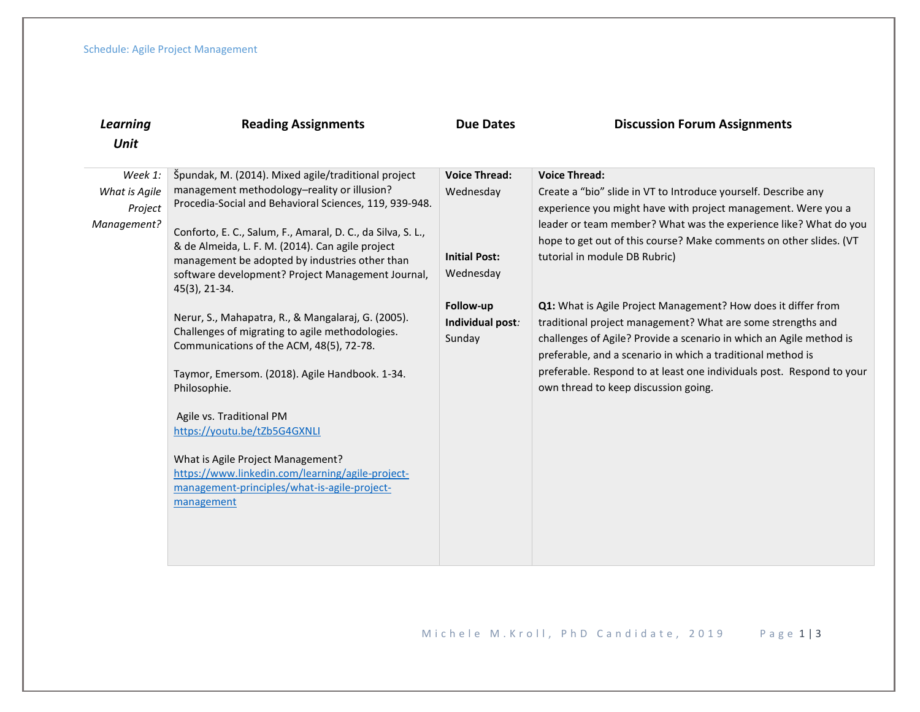| Learning                                           | <b>Reading Assignments</b>                                                                                                                                                                                                                                                                                                                                                                                                                                                                                                                                                                                                                                                                                                                                                                                                                        | <b>Due Dates</b>                                                                                                  | <b>Discussion Forum Assignments</b>                                                                                                                                                                                                                                                                                                                                                                                                                                                                                                                                                                                                                                                                                       |  |
|----------------------------------------------------|---------------------------------------------------------------------------------------------------------------------------------------------------------------------------------------------------------------------------------------------------------------------------------------------------------------------------------------------------------------------------------------------------------------------------------------------------------------------------------------------------------------------------------------------------------------------------------------------------------------------------------------------------------------------------------------------------------------------------------------------------------------------------------------------------------------------------------------------------|-------------------------------------------------------------------------------------------------------------------|---------------------------------------------------------------------------------------------------------------------------------------------------------------------------------------------------------------------------------------------------------------------------------------------------------------------------------------------------------------------------------------------------------------------------------------------------------------------------------------------------------------------------------------------------------------------------------------------------------------------------------------------------------------------------------------------------------------------------|--|
| Unit                                               |                                                                                                                                                                                                                                                                                                                                                                                                                                                                                                                                                                                                                                                                                                                                                                                                                                                   |                                                                                                                   |                                                                                                                                                                                                                                                                                                                                                                                                                                                                                                                                                                                                                                                                                                                           |  |
| Week 1:<br>What is Agile<br>Project<br>Management? | Špundak, M. (2014). Mixed agile/traditional project<br>management methodology-reality or illusion?<br>Procedia-Social and Behavioral Sciences, 119, 939-948.<br>Conforto, E. C., Salum, F., Amaral, D. C., da Silva, S. L.,<br>& de Almeida, L. F. M. (2014). Can agile project<br>management be adopted by industries other than<br>software development? Project Management Journal,<br>45(3), 21-34.<br>Nerur, S., Mahapatra, R., & Mangalaraj, G. (2005).<br>Challenges of migrating to agile methodologies.<br>Communications of the ACM, 48(5), 72-78.<br>Taymor, Emersom. (2018). Agile Handbook. 1-34.<br>Philosophie.<br>Agile vs. Traditional PM<br>https://youtu.be/tZb5G4GXNLI<br>What is Agile Project Management?<br>https://www.linkedin.com/learning/agile-project-<br>management-principles/what-is-agile-project-<br>management | <b>Voice Thread:</b><br>Wednesday<br><b>Initial Post:</b><br>Wednesday<br>Follow-up<br>Individual post:<br>Sunday | <b>Voice Thread:</b><br>Create a "bio" slide in VT to Introduce yourself. Describe any<br>experience you might have with project management. Were you a<br>leader or team member? What was the experience like? What do you<br>hope to get out of this course? Make comments on other slides. (VT<br>tutorial in module DB Rubric)<br>Q1: What is Agile Project Management? How does it differ from<br>traditional project management? What are some strengths and<br>challenges of Agile? Provide a scenario in which an Agile method is<br>preferable, and a scenario in which a traditional method is<br>preferable. Respond to at least one individuals post. Respond to your<br>own thread to keep discussion going. |  |
|                                                    |                                                                                                                                                                                                                                                                                                                                                                                                                                                                                                                                                                                                                                                                                                                                                                                                                                                   |                                                                                                                   |                                                                                                                                                                                                                                                                                                                                                                                                                                                                                                                                                                                                                                                                                                                           |  |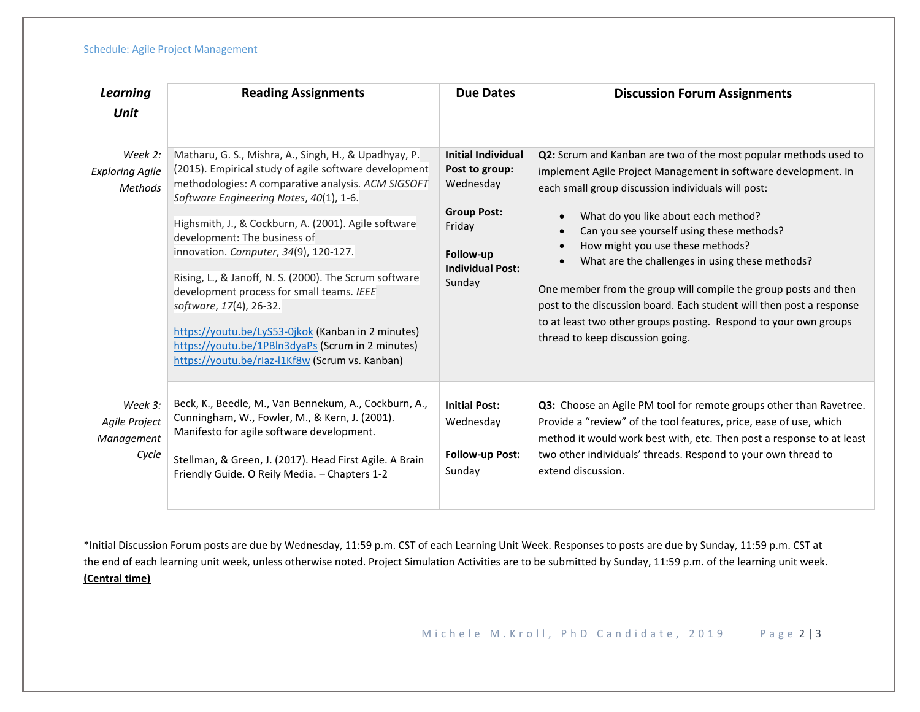## Schedule: Agile Project Management

| Learning<br>Unit                                    | <b>Reading Assignments</b>                                                                                                                                                                                                                                                                                                                                                                                                                                                                                                                                                                                                                       | <b>Due Dates</b>                                                                                                                           | <b>Discussion Forum Assignments</b>                                                                                                                                                                                                                                                                                                                                                                                                                                                                                                                                                                                                                           |  |
|-----------------------------------------------------|--------------------------------------------------------------------------------------------------------------------------------------------------------------------------------------------------------------------------------------------------------------------------------------------------------------------------------------------------------------------------------------------------------------------------------------------------------------------------------------------------------------------------------------------------------------------------------------------------------------------------------------------------|--------------------------------------------------------------------------------------------------------------------------------------------|---------------------------------------------------------------------------------------------------------------------------------------------------------------------------------------------------------------------------------------------------------------------------------------------------------------------------------------------------------------------------------------------------------------------------------------------------------------------------------------------------------------------------------------------------------------------------------------------------------------------------------------------------------------|--|
| Week 2:<br><b>Exploring Agile</b><br><b>Methods</b> | Matharu, G. S., Mishra, A., Singh, H., & Upadhyay, P.<br>(2015). Empirical study of agile software development<br>methodologies: A comparative analysis. ACM SIGSOFT<br>Software Engineering Notes, 40(1), 1-6.<br>Highsmith, J., & Cockburn, A. (2001). Agile software<br>development: The business of<br>innovation. Computer, 34(9), 120-127.<br>Rising, L., & Janoff, N. S. (2000). The Scrum software<br>development process for small teams. IEEE<br>software, 17(4), 26-32.<br>https://youtu.be/LyS53-0jkok (Kanban in 2 minutes)<br>https://youtu.be/1PBln3dyaPs (Scrum in 2 minutes)<br>https://youtu.be/rlaz-l1Kf8w (Scrum vs. Kanban) | <b>Initial Individual</b><br>Post to group:<br>Wednesday<br><b>Group Post:</b><br>Friday<br>Follow-up<br><b>Individual Post:</b><br>Sunday | Q2: Scrum and Kanban are two of the most popular methods used to<br>implement Agile Project Management in software development. In<br>each small group discussion individuals will post:<br>What do you like about each method?<br>$\bullet$<br>Can you see yourself using these methods?<br>How might you use these methods?<br>$\bullet$<br>What are the challenges in using these methods?<br>$\bullet$<br>One member from the group will compile the group posts and then<br>post to the discussion board. Each student will then post a response<br>to at least two other groups posting. Respond to your own groups<br>thread to keep discussion going. |  |
| Week 3:<br>Agile Project<br>Management<br>Cycle     | Beck, K., Beedle, M., Van Bennekum, A., Cockburn, A.,<br>Cunningham, W., Fowler, M., & Kern, J. (2001).<br>Manifesto for agile software development.<br>Stellman, & Green, J. (2017). Head First Agile. A Brain<br>Friendly Guide. O Reily Media. - Chapters 1-2                                                                                                                                                                                                                                                                                                                                                                                 | <b>Initial Post:</b><br>Wednesday<br><b>Follow-up Post:</b><br>Sunday                                                                      | Q3: Choose an Agile PM tool for remote groups other than Ravetree.<br>Provide a "review" of the tool features, price, ease of use, which<br>method it would work best with, etc. Then post a response to at least<br>two other individuals' threads. Respond to your own thread to<br>extend discussion.                                                                                                                                                                                                                                                                                                                                                      |  |

\*Initial Discussion Forum posts are due by Wednesday, 11:59 p.m. CST of each Learning Unit Week. Responses to posts are due by Sunday, 11:59 p.m. CST at the end of each learning unit week, unless otherwise noted. Project Simulation Activities are to be submitted by Sunday, 11:59 p.m. of the learning unit week. **(Central time)**